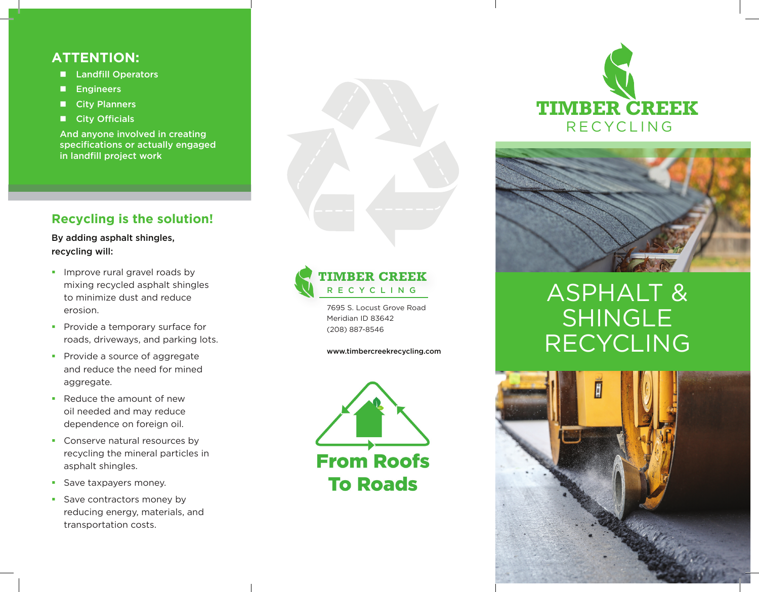### **ATTENTION:**

- **Landfill Operators**
- **Engineers**
- **City Planners**
- **City Officials**

And anyone involved in creating specifications or actually engaged in landfill project work

## **Recycling is the solution!**

By adding asphalt shingles, recycling will:

- **Improve rural gravel roads by** mixing recycled asphalt shingles to minimize dust and reduce erosion.
- **Provide a temporary surface for** roads, driveways, and parking lots.
- **Provide a source of aggregate** and reduce the need for mined aggregate.
- Reduce the amount of new oil needed and may reduce dependence on foreign oil.
- **Conserve natural resources by** recycling the mineral particles in asphalt shingles.
- **Save taxpayers money.**
- Save contractors money by reducing energy, materials, and transportation costs.



**TIMBER CREEK RECYCLING** 

7695 S. Locust Grove Road Meridian ID 83642 (208) 887-8546

www.timbercreekrecycling.com







# ASPHALT & SHINGLE RECYCLING